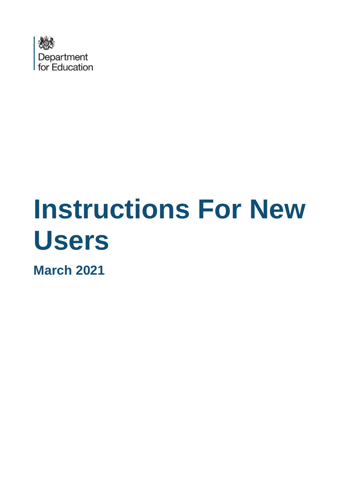

# **Instructions For New Users**

**March 2021**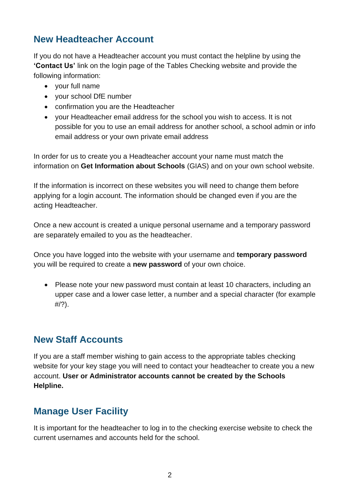## **New Headteacher Account**

If you do not have a Headteacher account you must contact the helpline by using the **'Contact Us'** link on the login page of the Tables Checking website and provide the following information:

- your full name
- your school DfE number
- confirmation you are the Headteacher
- your Headteacher email address for the school you wish to access. It is not possible for you to use an email address for another school, a school admin or info email address or your own private email address

In order for us to create you a Headteacher account your name must match the information on **Get Information about Schools** (GIAS) and on your own school website.

If the information is incorrect on these websites you will need to change them before applying for a login account. The information should be changed even if you are the acting Headteacher.

Once a new account is created a unique personal username and a temporary password are separately emailed to you as the headteacher.

Once you have logged into the website with your username and **temporary password** you will be required to create a **new password** of your own choice.

• Please note your new password must contain at least 10 characters, including an upper case and a lower case letter, a number and a special character (for example  $\#/?$ ).

### **New Staff Accounts**

If you are a staff member wishing to gain access to the appropriate tables checking website for your key stage you will need to contact your headteacher to create you a new account. **User or Administrator accounts cannot be created by the Schools Helpline.**

### **Manage User Facility**

It is important for the headteacher to log in to the checking exercise website to check the current usernames and accounts held for the school.